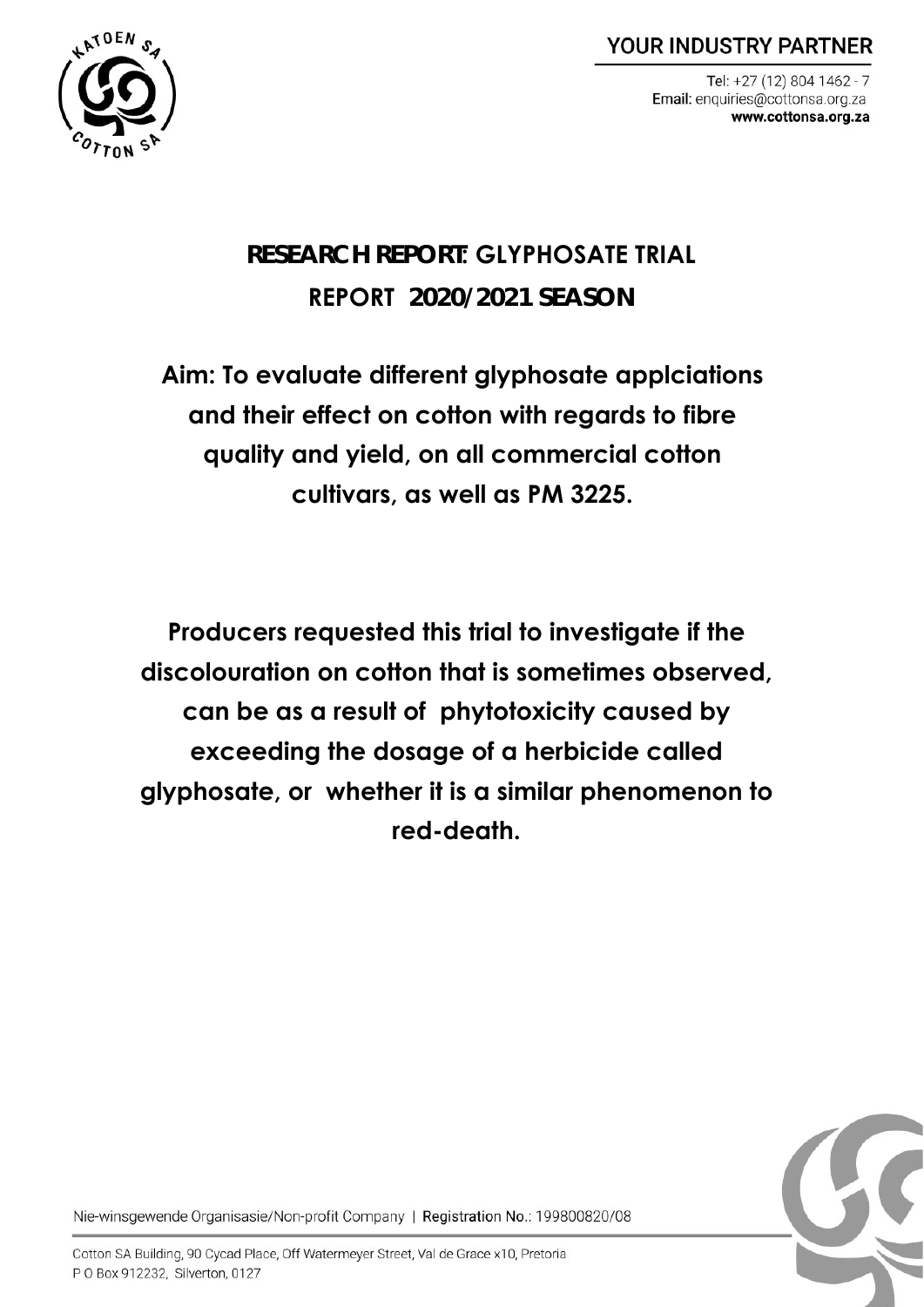**YOUR INDUSTRY PARTNER** 



Tel: +27 (12) 804 1462 - 7 Email: enquiries@cottonsa.org.za www.cottonsa.org.za

# **RESEARCH REPORT: GLYPHOSATE TRIAL REPORT 2020/2021 SEASON**

**Aim: To evaluate different glyphosate applciations and their effect on cotton with regards to fibre quality and yield, on all commercial cotton cultivars, as well as PM 3225.**

**Producers requested this trial to investigate if the discolouration on cotton that is sometimes observed, can be as a result of phytotoxicity caused by exceeding the dosage of a herbicide called glyphosate, or whether it is a similar phenomenon to red-death.** 



Nie-winsgewende Organisasie/Non-profit Company | Registration No.: 199800820/08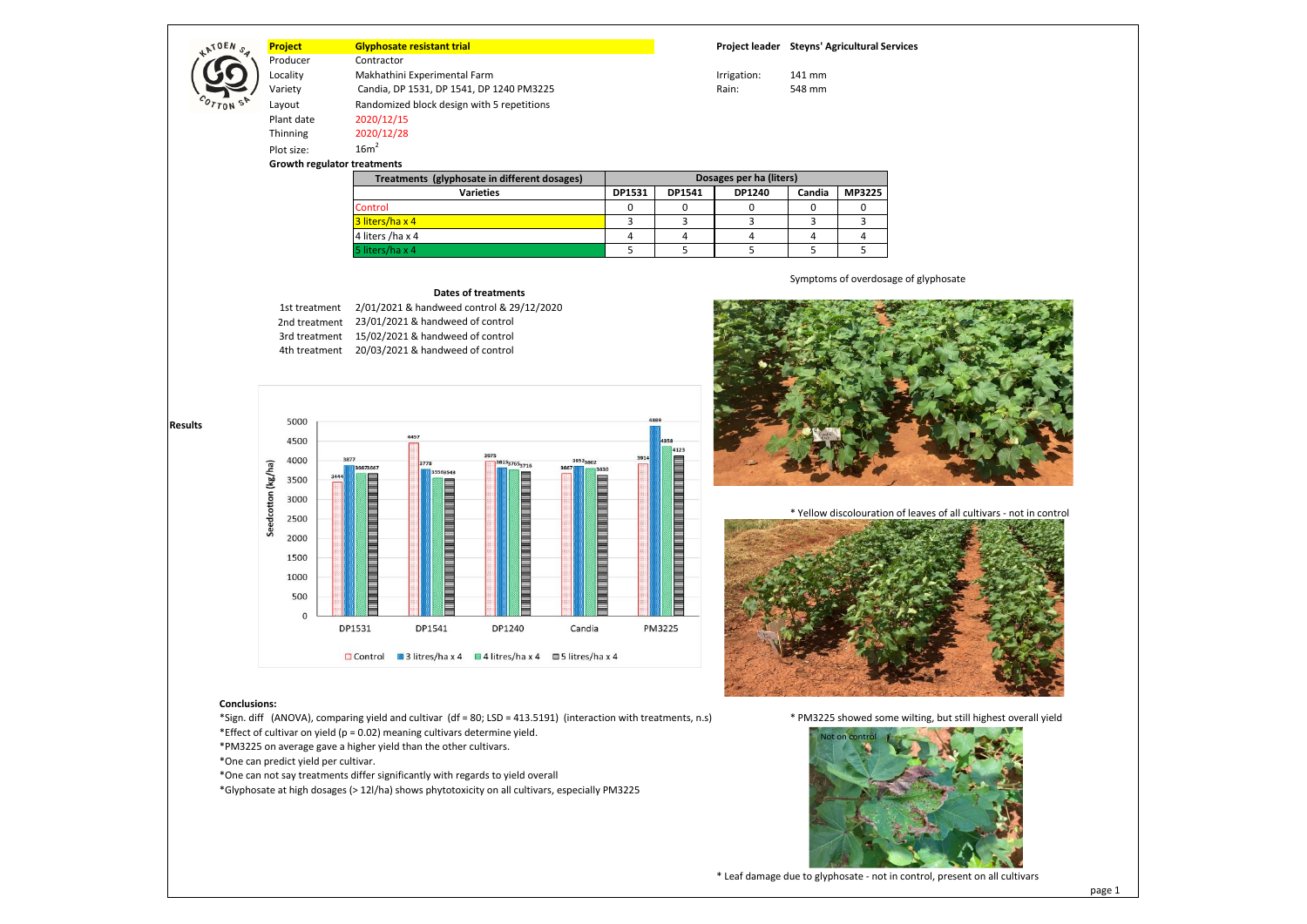# **Project Glyphosate resistant trial Project leader Steyns' Agricultural Services**

Locality **Makhathini Experimental Farm** International Controller May 141 mm

Variety Candia, DP 1531, DP 1541, DP 1240 PM3225 Rain: 548 mm

Thinning 2020/12/28 Plot size: 16m<sup>2</sup> **Growth regulator treatments**

Plant date 2020/12/15

ATOEN<sub>S</sub>

Contractor

Layout Randomized block design with 5 repetitions

| Treatments (glyphosate in different dosages) | Dosages per ha (liters) |        |        |        |        |  |
|----------------------------------------------|-------------------------|--------|--------|--------|--------|--|
| <b>Varieties</b>                             | DP1531                  | DP1541 | DP1240 | Candia | MP3225 |  |
| Control                                      |                         |        |        |        |        |  |
| 3 liters/ha x 4                              |                         |        |        |        |        |  |
| 4 liters /ha x 4                             |                         |        |        |        |        |  |
| 5 liters/ha x 4                              |                         |        |        |        |        |  |

Symptoms of overdosage of glyphosate

#### **Dates of treatments**

1st treatment 2/01/2021 & handweed control & 29/12/2020 2nd treatment 23/01/2021 & handweed of control 3rd treatment 15/02/2021 & handweed of control 4th treatment 20/03/2021 & handweed of control



#### **Conclusions:**

\*Sign. diff (ANOVA), comparing yield and cultivar (df = 80; LSD = 413.5191) (interaction with treatments, n.s) \* PM3225 showed some wilting, but still highest overall yield \*Effect of cultivar on yield ( $p = 0.02$ ) meaning cultivars determine yield.

\*PM3225 on average gave a higher yield than the other cultivars.

\*One can predict yield per cultivar.

\*One can not say treatments differ significantly with regards to yield overall









\* Leaf damage due to glyphosate - not in control, present on all cultivars